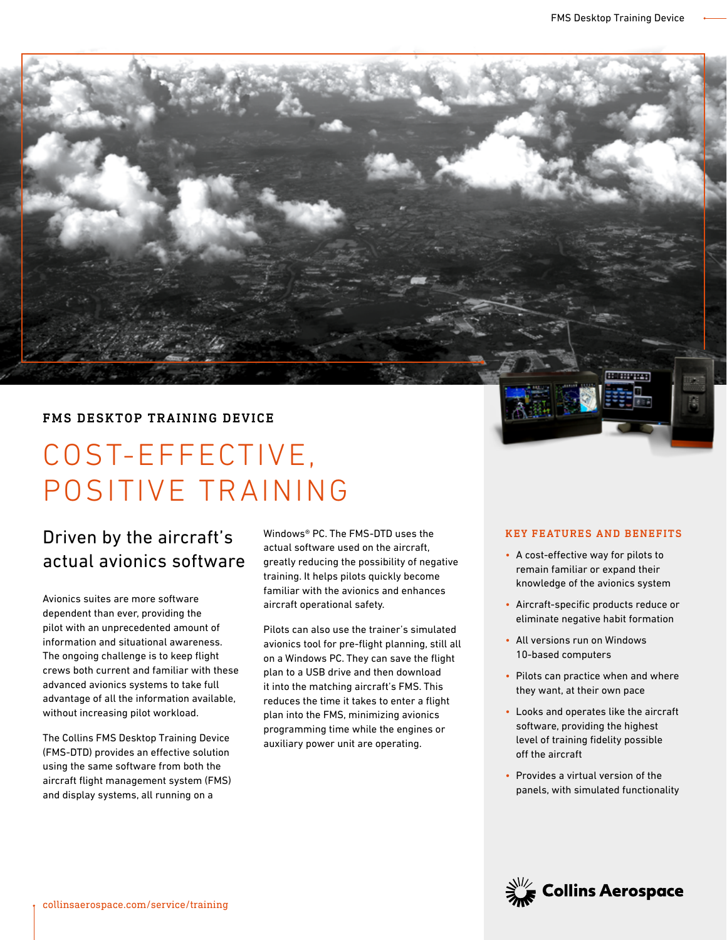

# COST-EFFECTIVE, POSITIVE TRAINING

## Driven by the aircraft's actual avionics software

Avionics suites are more software dependent than ever, providing the pilot with an unprecedented amount of information and situational awareness. The ongoing challenge is to keep flight crews both current and familiar with these advanced avionics systems to take full advantage of all the information available, without increasing pilot workload.

The Collins FMS Desktop Training Device (FMS-DTD) provides an effective solution using the same software from both the aircraft flight management system (FMS) and display systems, all running on a

Windows® PC. The FMS-DTD uses the actual software used on the aircraft, greatly reducing the possibility of negative training. It helps pilots quickly become familiar with the avionics and enhances aircraft operational safety.

Pilots can also use the trainer's simulated avionics tool for pre-flight planning, still all on a Windows PC. They can save the flight plan to a USB drive and then download it into the matching aircraft's FMS. This reduces the time it takes to enter a flight plan into the FMS, minimizing avionics programming time while the engines or auxiliary power unit are operating.

#### KEY FEATURES AND BENEFITS

**HIFHVITH** 

- A cost-effective way for pilots to remain familiar or expand their knowledge of the avionics system
- Aircraft-specific products reduce or eliminate negative habit formation
- All versions run on Windows 10-based computers
- Pilots can practice when and where they want, at their own pace
- Looks and operates like the aircraft software, providing the highest level of training fidelity possible off the aircraft
- Provides a virtual version of the panels, with simulated functionality